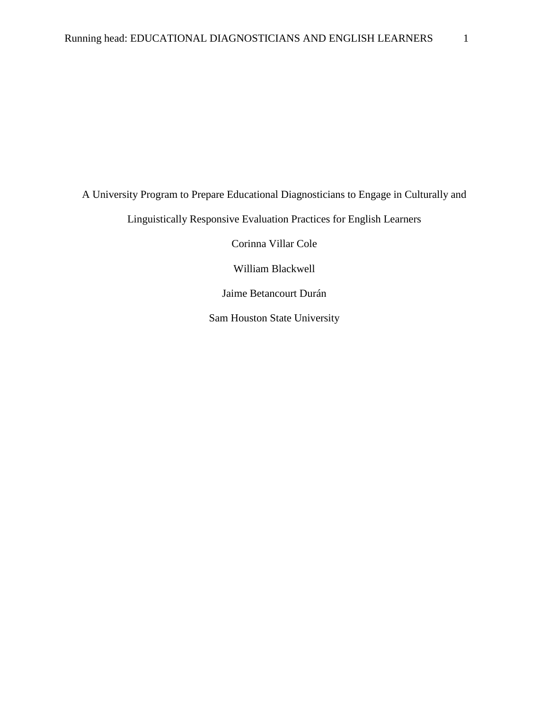A University Program to Prepare Educational Diagnosticians to Engage in Culturally and Linguistically Responsive Evaluation Practices for English Learners

Corinna Villar Cole

William Blackwell

Jaime Betancourt Durán

Sam Houston State University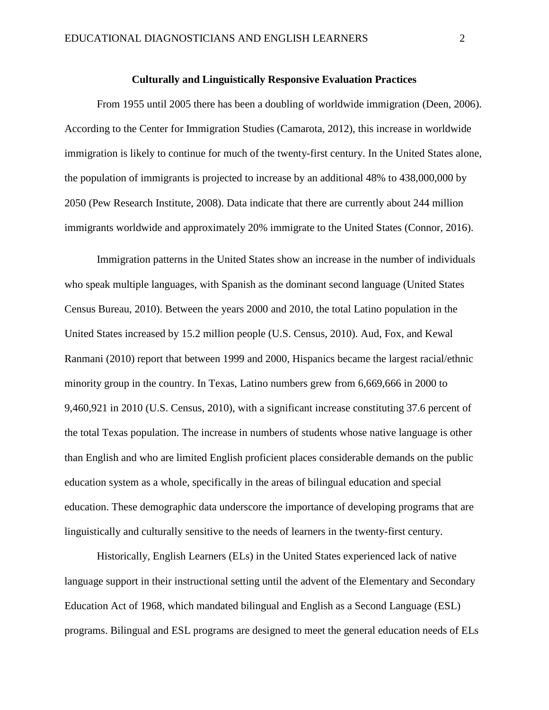## **Culturally and Linguistically Responsive Evaluation Practices**

 From 1955 until 2005 there has been a doubling of worldwide immigration (Deen, 2006). According to the Center for Immigration Studies (Camarota, 2012), this increase in worldwide immigration is likely to continue for much of the twenty-first century. In the United States alone, the population of immigrants is projected to increase by an additional 48% to 438,000,000 by 2050 (Pew Research Institute, 2008). Data indicate that there are currently about 244 million immigrants worldwide and approximately 20% immigrate to the United States (Connor, 2016).

Immigration patterns in the United States show an increase in the number of individuals who speak multiple languages, with Spanish as the dominant second language (United States Census Bureau, 2010). Between the years 2000 and 2010, the total Latino population in the United States increased by 15.2 million people (U.S. Census, 2010). Aud, Fox, and Kewal Ranmani (2010) report that between 1999 and 2000, Hispanics became the largest racial/ethnic minority group in the country. In Texas, Latino numbers grew from 6,669,666 in 2000 to 9,460,921 in 2010 (U.S. Census, 2010), with a significant increase constituting 37.6 percent of the total Texas population. The increase in numbers of students whose native language is other than English and who are limited English proficient places considerable demands on the public education system as a whole, specifically in the areas of bilingual education and special education. These demographic data underscore the importance of developing programs that are linguistically and culturally sensitive to the needs of learners in the twenty-first century.

Historically, English Learners (ELs) in the United States experienced lack of native language support in their instructional setting until the advent of the Elementary and Secondary Education Act of 1968, which mandated bilingual and English as a Second Language (ESL) programs. Bilingual and ESL programs are designed to meet the general education needs of ELs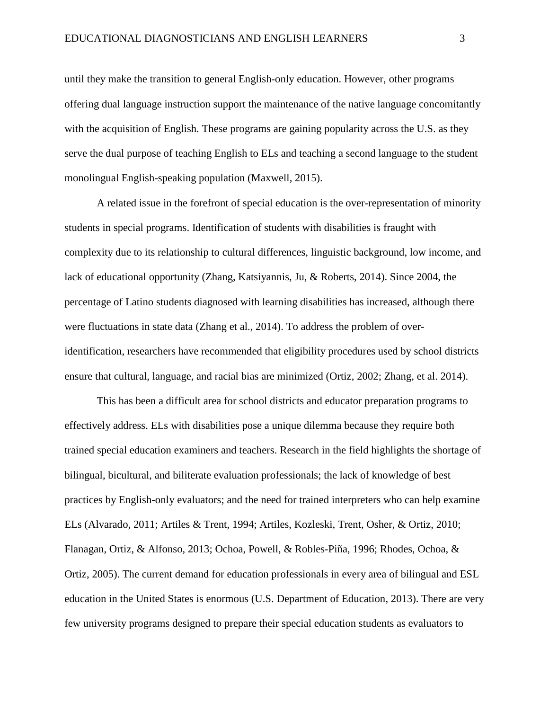until they make the transition to general English-only education. However, other programs offering dual language instruction support the maintenance of the native language concomitantly with the acquisition of English. These programs are gaining popularity across the U.S. as they serve the dual purpose of teaching English to ELs and teaching a second language to the student monolingual English-speaking population (Maxwell, 2015).

A related issue in the forefront of special education is the over-representation of minority students in special programs. Identification of students with disabilities is fraught with complexity due to its relationship to cultural differences, linguistic background, low income, and lack of educational opportunity (Zhang, Katsiyannis, Ju, & Roberts, 2014). Since 2004, the percentage of Latino students diagnosed with learning disabilities has increased, although there were fluctuations in state data (Zhang et al., 2014). To address the problem of overidentification, researchers have recommended that eligibility procedures used by school districts ensure that cultural, language, and racial bias are minimized (Ortiz, 2002; Zhang, et al. 2014).

This has been a difficult area for school districts and educator preparation programs to effectively address. ELs with disabilities pose a unique dilemma because they require both trained special education examiners and teachers. Research in the field highlights the shortage of bilingual, bicultural, and biliterate evaluation professionals; the lack of knowledge of best practices by English-only evaluators; and the need for trained interpreters who can help examine ELs (Alvarado, 2011; Artiles & Trent, 1994; Artiles, Kozleski, Trent, Osher, & Ortiz, 2010; Flanagan, Ortiz, & Alfonso, 2013; Ochoa, Powell, & Robles-Piña, 1996; Rhodes, Ochoa, & Ortiz, 2005). The current demand for education professionals in every area of bilingual and ESL education in the United States is enormous (U.S. Department of Education, 2013). There are very few university programs designed to prepare their special education students as evaluators to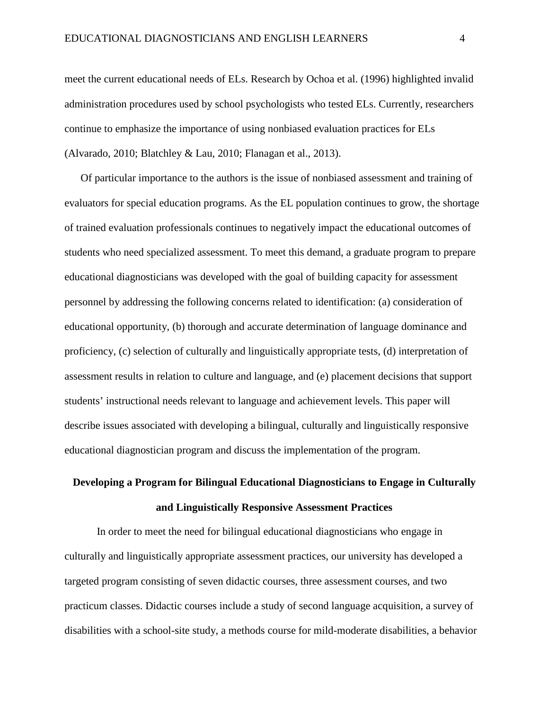meet the current educational needs of ELs. Research by Ochoa et al. (1996) highlighted invalid administration procedures used by school psychologists who tested ELs. Currently, researchers continue to emphasize the importance of using nonbiased evaluation practices for ELs (Alvarado, 2010; Blatchley & Lau, 2010; Flanagan et al., 2013).

Of particular importance to the authors is the issue of nonbiased assessment and training of evaluators for special education programs. As the EL population continues to grow, the shortage of trained evaluation professionals continues to negatively impact the educational outcomes of students who need specialized assessment. To meet this demand, a graduate program to prepare educational diagnosticians was developed with the goal of building capacity for assessment personnel by addressing the following concerns related to identification: (a) consideration of educational opportunity, (b) thorough and accurate determination of language dominance and proficiency, (c) selection of culturally and linguistically appropriate tests, (d) interpretation of assessment results in relation to culture and language, and (e) placement decisions that support students' instructional needs relevant to language and achievement levels. This paper will describe issues associated with developing a bilingual, culturally and linguistically responsive educational diagnostician program and discuss the implementation of the program.

# **Developing a Program for Bilingual Educational Diagnosticians to Engage in Culturally and Linguistically Responsive Assessment Practices**

In order to meet the need for bilingual educational diagnosticians who engage in culturally and linguistically appropriate assessment practices, our university has developed a targeted program consisting of seven didactic courses, three assessment courses, and two practicum classes. Didactic courses include a study of second language acquisition, a survey of disabilities with a school-site study, a methods course for mild-moderate disabilities, a behavior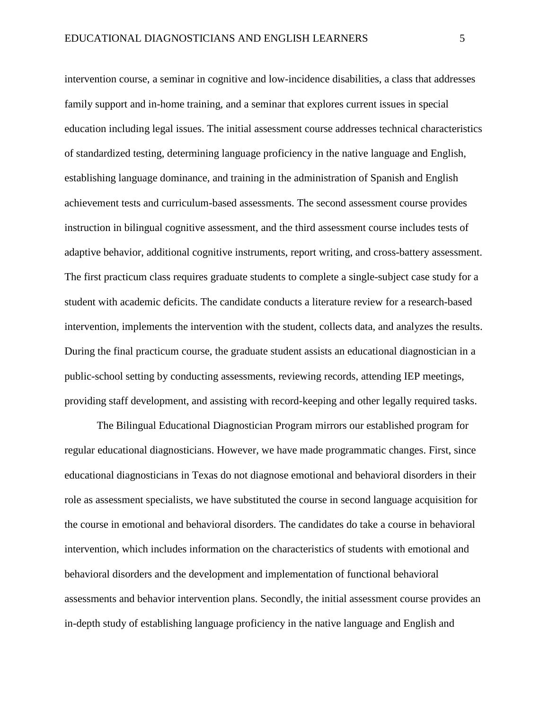intervention course, a seminar in cognitive and low-incidence disabilities, a class that addresses family support and in-home training, and a seminar that explores current issues in special education including legal issues. The initial assessment course addresses technical characteristics of standardized testing, determining language proficiency in the native language and English, establishing language dominance, and training in the administration of Spanish and English achievement tests and curriculum-based assessments. The second assessment course provides instruction in bilingual cognitive assessment, and the third assessment course includes tests of adaptive behavior, additional cognitive instruments, report writing, and cross-battery assessment. The first practicum class requires graduate students to complete a single-subject case study for a student with academic deficits. The candidate conducts a literature review for a research-based intervention, implements the intervention with the student, collects data, and analyzes the results. During the final practicum course, the graduate student assists an educational diagnostician in a public-school setting by conducting assessments, reviewing records, attending IEP meetings, providing staff development, and assisting with record-keeping and other legally required tasks.

The Bilingual Educational Diagnostician Program mirrors our established program for regular educational diagnosticians. However, we have made programmatic changes. First, since educational diagnosticians in Texas do not diagnose emotional and behavioral disorders in their role as assessment specialists, we have substituted the course in second language acquisition for the course in emotional and behavioral disorders. The candidates do take a course in behavioral intervention, which includes information on the characteristics of students with emotional and behavioral disorders and the development and implementation of functional behavioral assessments and behavior intervention plans. Secondly, the initial assessment course provides an in-depth study of establishing language proficiency in the native language and English and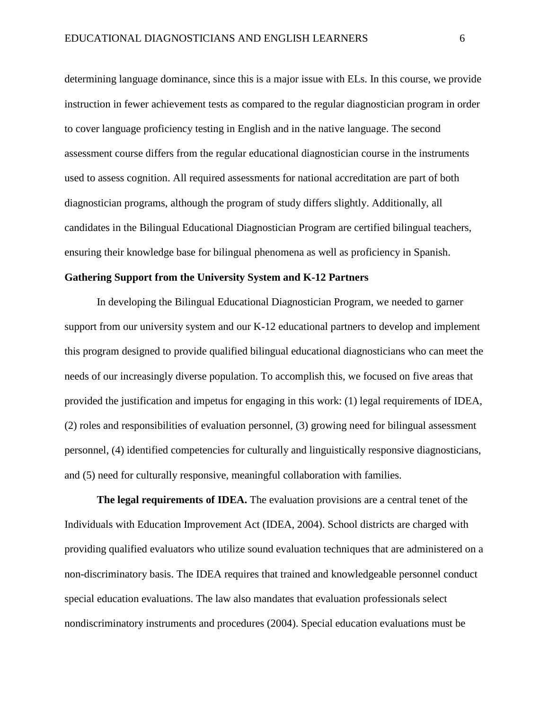determining language dominance, since this is a major issue with ELs. In this course, we provide instruction in fewer achievement tests as compared to the regular diagnostician program in order to cover language proficiency testing in English and in the native language. The second assessment course differs from the regular educational diagnostician course in the instruments used to assess cognition. All required assessments for national accreditation are part of both diagnostician programs, although the program of study differs slightly. Additionally, all candidates in the Bilingual Educational Diagnostician Program are certified bilingual teachers, ensuring their knowledge base for bilingual phenomena as well as proficiency in Spanish.

# **Gathering Support from the University System and K-12 Partners**

In developing the Bilingual Educational Diagnostician Program, we needed to garner support from our university system and our K-12 educational partners to develop and implement this program designed to provide qualified bilingual educational diagnosticians who can meet the needs of our increasingly diverse population. To accomplish this, we focused on five areas that provided the justification and impetus for engaging in this work: (1) legal requirements of IDEA, (2) roles and responsibilities of evaluation personnel, (3) growing need for bilingual assessment personnel, (4) identified competencies for culturally and linguistically responsive diagnosticians, and (5) need for culturally responsive, meaningful collaboration with families.

 **The legal requirements of IDEA.** The evaluation provisions are a central tenet of the Individuals with Education Improvement Act (IDEA, 2004). School districts are charged with providing qualified evaluators who utilize sound evaluation techniques that are administered on a non-discriminatory basis. The IDEA requires that trained and knowledgeable personnel conduct special education evaluations. The law also mandates that evaluation professionals select nondiscriminatory instruments and procedures (2004). Special education evaluations must be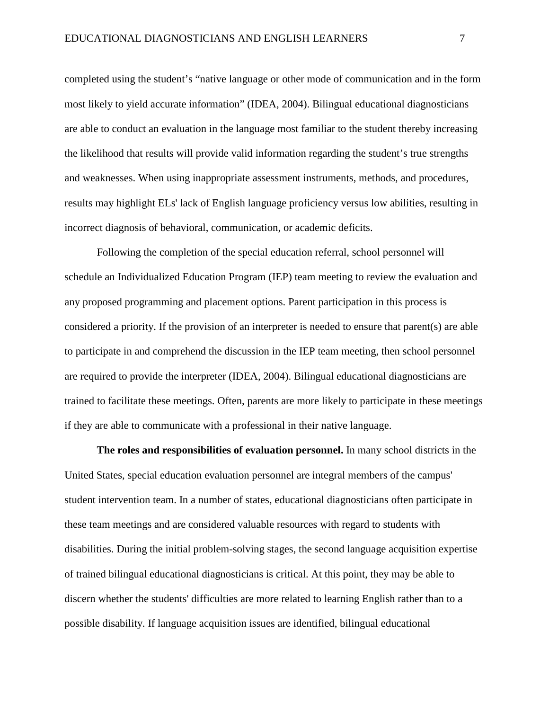completed using the student's "native language or other mode of communication and in the form most likely to yield accurate information" (IDEA, 2004). Bilingual educational diagnosticians are able to conduct an evaluation in the language most familiar to the student thereby increasing the likelihood that results will provide valid information regarding the student's true strengths and weaknesses. When using inappropriate assessment instruments, methods, and procedures, results may highlight ELs' lack of English language proficiency versus low abilities, resulting in incorrect diagnosis of behavioral, communication, or academic deficits.

Following the completion of the special education referral, school personnel will schedule an Individualized Education Program (IEP) team meeting to review the evaluation and any proposed programming and placement options. Parent participation in this process is considered a priority. If the provision of an interpreter is needed to ensure that parent(s) are able to participate in and comprehend the discussion in the IEP team meeting, then school personnel are required to provide the interpreter (IDEA, 2004). Bilingual educational diagnosticians are trained to facilitate these meetings. Often, parents are more likely to participate in these meetings if they are able to communicate with a professional in their native language.

**The roles and responsibilities of evaluation personnel.** In many school districts in the United States, special education evaluation personnel are integral members of the campus' student intervention team. In a number of states, educational diagnosticians often participate in these team meetings and are considered valuable resources with regard to students with disabilities. During the initial problem-solving stages, the second language acquisition expertise of trained bilingual educational diagnosticians is critical. At this point, they may be able to discern whether the students' difficulties are more related to learning English rather than to a possible disability. If language acquisition issues are identified, bilingual educational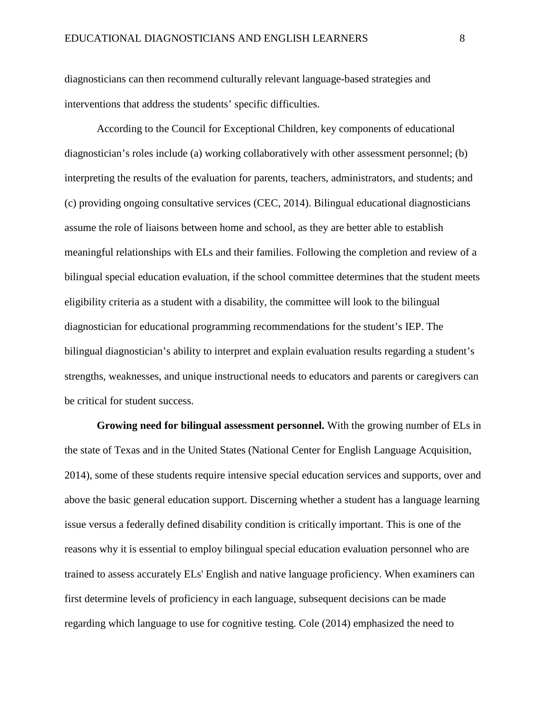diagnosticians can then recommend culturally relevant language-based strategies and interventions that address the students' specific difficulties.

According to the Council for Exceptional Children, key components of educational diagnostician's roles include (a) working collaboratively with other assessment personnel; (b) interpreting the results of the evaluation for parents, teachers, administrators, and students; and (c) providing ongoing consultative services (CEC, 2014). Bilingual educational diagnosticians assume the role of liaisons between home and school, as they are better able to establish meaningful relationships with ELs and their families. Following the completion and review of a bilingual special education evaluation, if the school committee determines that the student meets eligibility criteria as a student with a disability, the committee will look to the bilingual diagnostician for educational programming recommendations for the student's IEP. The bilingual diagnostician's ability to interpret and explain evaluation results regarding a student's strengths, weaknesses, and unique instructional needs to educators and parents or caregivers can be critical for student success.

**Growing need for bilingual assessment personnel.** With the growing number of ELs in the state of Texas and in the United States (National Center for English Language Acquisition, 2014), some of these students require intensive special education services and supports, over and above the basic general education support. Discerning whether a student has a language learning issue versus a federally defined disability condition is critically important. This is one of the reasons why it is essential to employ bilingual special education evaluation personnel who are trained to assess accurately ELs' English and native language proficiency. When examiners can first determine levels of proficiency in each language, subsequent decisions can be made regarding which language to use for cognitive testing. Cole (2014) emphasized the need to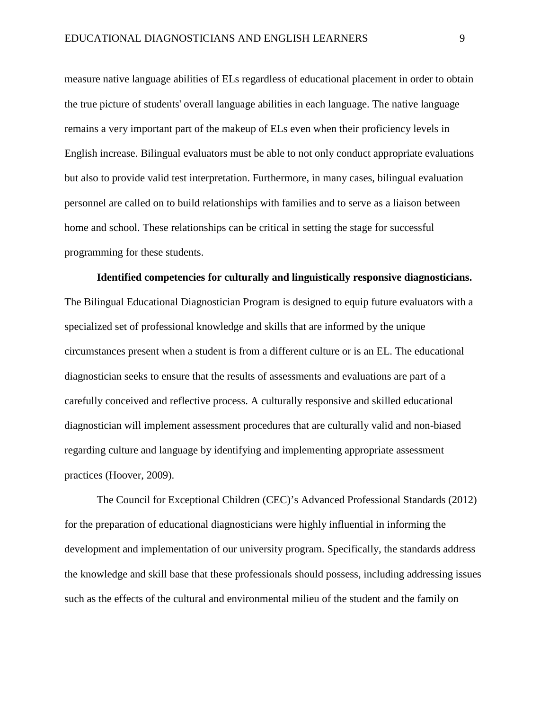measure native language abilities of ELs regardless of educational placement in order to obtain the true picture of students' overall language abilities in each language. The native language remains a very important part of the makeup of ELs even when their proficiency levels in English increase. Bilingual evaluators must be able to not only conduct appropriate evaluations but also to provide valid test interpretation. Furthermore, in many cases, bilingual evaluation personnel are called on to build relationships with families and to serve as a liaison between home and school. These relationships can be critical in setting the stage for successful programming for these students.

**Identified competencies for culturally and linguistically responsive diagnosticians.** The Bilingual Educational Diagnostician Program is designed to equip future evaluators with a specialized set of professional knowledge and skills that are informed by the unique circumstances present when a student is from a different culture or is an EL. The educational diagnostician seeks to ensure that the results of assessments and evaluations are part of a carefully conceived and reflective process. A culturally responsive and skilled educational diagnostician will implement assessment procedures that are culturally valid and non-biased regarding culture and language by identifying and implementing appropriate assessment practices (Hoover, 2009).

 The Council for Exceptional Children (CEC)'s Advanced Professional Standards (2012) for the preparation of educational diagnosticians were highly influential in informing the development and implementation of our university program. Specifically, the standards address the knowledge and skill base that these professionals should possess, including addressing issues such as the effects of the cultural and environmental milieu of the student and the family on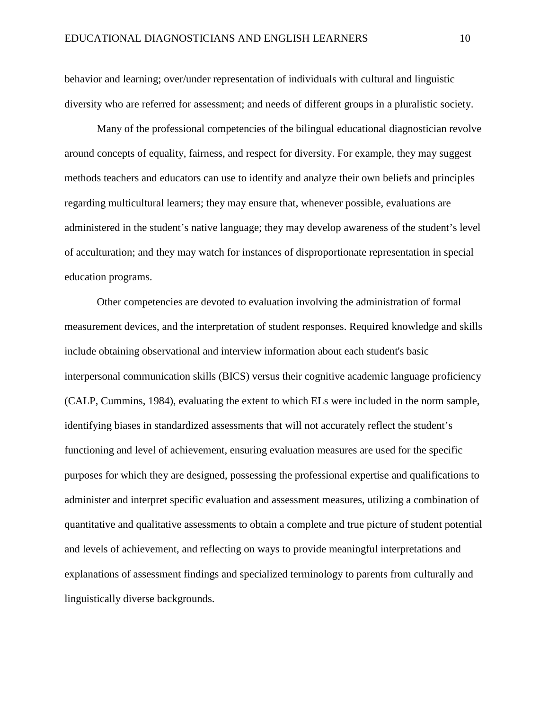behavior and learning; over/under representation of individuals with cultural and linguistic diversity who are referred for assessment; and needs of different groups in a pluralistic society.

 Many of the professional competencies of the bilingual educational diagnostician revolve around concepts of equality, fairness, and respect for diversity. For example, they may suggest methods teachers and educators can use to identify and analyze their own beliefs and principles regarding multicultural learners; they may ensure that, whenever possible, evaluations are administered in the student's native language; they may develop awareness of the student's level of acculturation; and they may watch for instances of disproportionate representation in special education programs.

Other competencies are devoted to evaluation involving the administration of formal measurement devices, and the interpretation of student responses. Required knowledge and skills include obtaining observational and interview information about each student's basic interpersonal communication skills (BICS) versus their cognitive academic language proficiency (CALP, Cummins, 1984), evaluating the extent to which ELs were included in the norm sample, identifying biases in standardized assessments that will not accurately reflect the student's functioning and level of achievement, ensuring evaluation measures are used for the specific purposes for which they are designed, possessing the professional expertise and qualifications to administer and interpret specific evaluation and assessment measures, utilizing a combination of quantitative and qualitative assessments to obtain a complete and true picture of student potential and levels of achievement, and reflecting on ways to provide meaningful interpretations and explanations of assessment findings and specialized terminology to parents from culturally and linguistically diverse backgrounds.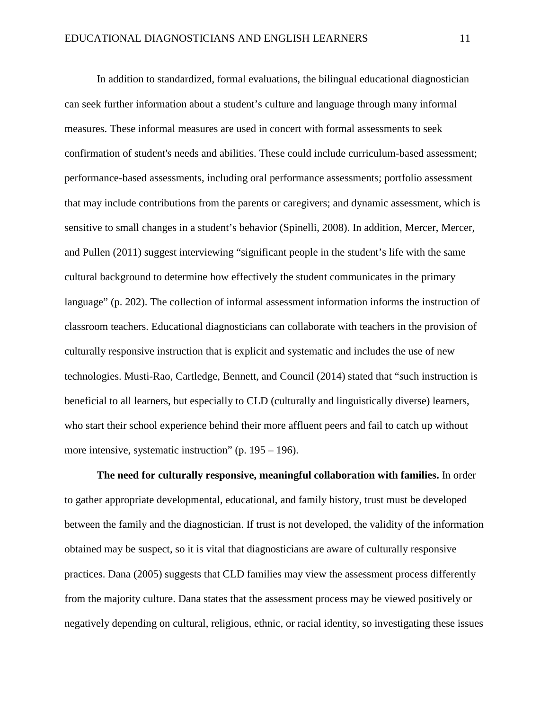In addition to standardized, formal evaluations, the bilingual educational diagnostician can seek further information about a student's culture and language through many informal measures. These informal measures are used in concert with formal assessments to seek confirmation of student's needs and abilities. These could include curriculum-based assessment; performance-based assessments, including oral performance assessments; portfolio assessment that may include contributions from the parents or caregivers; and dynamic assessment, which is sensitive to small changes in a student's behavior (Spinelli, 2008). In addition, Mercer, Mercer, and Pullen (2011) suggest interviewing "significant people in the student's life with the same cultural background to determine how effectively the student communicates in the primary language" (p. 202). The collection of informal assessment information informs the instruction of classroom teachers. Educational diagnosticians can collaborate with teachers in the provision of culturally responsive instruction that is explicit and systematic and includes the use of new technologies. Musti-Rao, Cartledge, Bennett, and Council (2014) stated that "such instruction is beneficial to all learners, but especially to CLD (culturally and linguistically diverse) learners, who start their school experience behind their more affluent peers and fail to catch up without more intensive, systematic instruction" (p. 195 – 196).

**The need for culturally responsive, meaningful collaboration with families.** In order to gather appropriate developmental, educational, and family history, trust must be developed between the family and the diagnostician. If trust is not developed, the validity of the information obtained may be suspect, so it is vital that diagnosticians are aware of culturally responsive practices. Dana (2005) suggests that CLD families may view the assessment process differently from the majority culture. Dana states that the assessment process may be viewed positively or negatively depending on cultural, religious, ethnic, or racial identity, so investigating these issues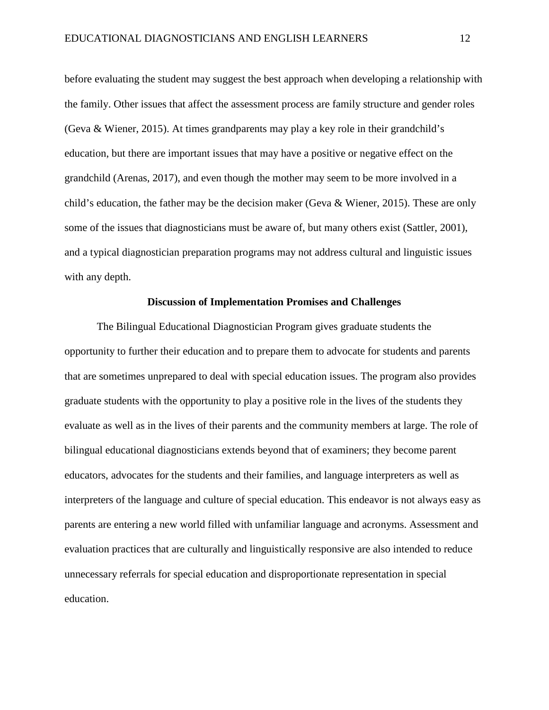before evaluating the student may suggest the best approach when developing a relationship with the family. Other issues that affect the assessment process are family structure and gender roles (Geva & Wiener, 2015). At times grandparents may play a key role in their grandchild's education, but there are important issues that may have a positive or negative effect on the grandchild (Arenas, 2017), and even though the mother may seem to be more involved in a child's education, the father may be the decision maker (Geva & Wiener, 2015). These are only some of the issues that diagnosticians must be aware of, but many others exist (Sattler, 2001), and a typical diagnostician preparation programs may not address cultural and linguistic issues with any depth.

#### **Discussion of Implementation Promises and Challenges**

The Bilingual Educational Diagnostician Program gives graduate students the opportunity to further their education and to prepare them to advocate for students and parents that are sometimes unprepared to deal with special education issues. The program also provides graduate students with the opportunity to play a positive role in the lives of the students they evaluate as well as in the lives of their parents and the community members at large. The role of bilingual educational diagnosticians extends beyond that of examiners; they become parent educators, advocates for the students and their families, and language interpreters as well as interpreters of the language and culture of special education. This endeavor is not always easy as parents are entering a new world filled with unfamiliar language and acronyms. Assessment and evaluation practices that are culturally and linguistically responsive are also intended to reduce unnecessary referrals for special education and disproportionate representation in special education.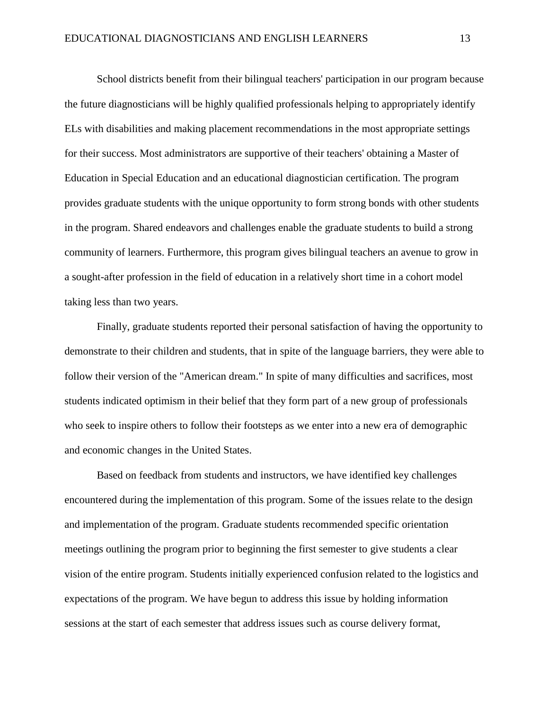School districts benefit from their bilingual teachers' participation in our program because the future diagnosticians will be highly qualified professionals helping to appropriately identify ELs with disabilities and making placement recommendations in the most appropriate settings for their success. Most administrators are supportive of their teachers' obtaining a Master of Education in Special Education and an educational diagnostician certification. The program provides graduate students with the unique opportunity to form strong bonds with other students in the program. Shared endeavors and challenges enable the graduate students to build a strong community of learners. Furthermore, this program gives bilingual teachers an avenue to grow in a sought-after profession in the field of education in a relatively short time in a cohort model taking less than two years.

Finally, graduate students reported their personal satisfaction of having the opportunity to demonstrate to their children and students, that in spite of the language barriers, they were able to follow their version of the "American dream." In spite of many difficulties and sacrifices, most students indicated optimism in their belief that they form part of a new group of professionals who seek to inspire others to follow their footsteps as we enter into a new era of demographic and economic changes in the United States.

 Based on feedback from students and instructors, we have identified key challenges encountered during the implementation of this program. Some of the issues relate to the design and implementation of the program. Graduate students recommended specific orientation meetings outlining the program prior to beginning the first semester to give students a clear vision of the entire program. Students initially experienced confusion related to the logistics and expectations of the program. We have begun to address this issue by holding information sessions at the start of each semester that address issues such as course delivery format,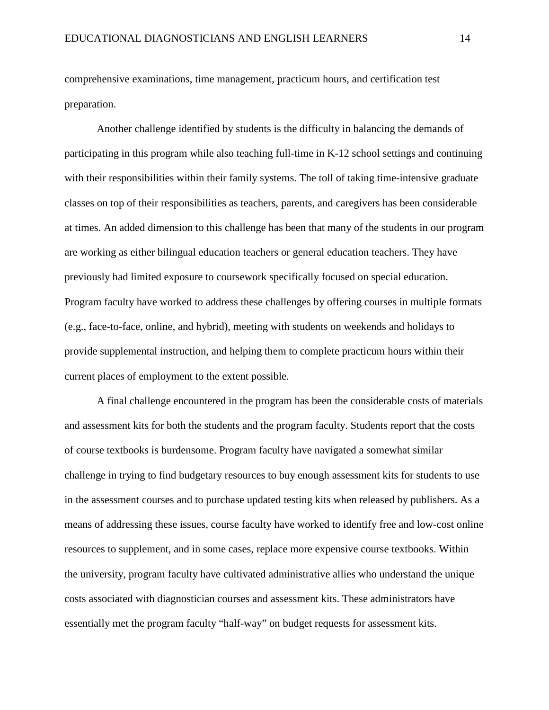comprehensive examinations, time management, practicum hours, and certification test preparation.

 Another challenge identified by students is the difficulty in balancing the demands of participating in this program while also teaching full-time in K-12 school settings and continuing with their responsibilities within their family systems. The toll of taking time-intensive graduate classes on top of their responsibilities as teachers, parents, and caregivers has been considerable at times. An added dimension to this challenge has been that many of the students in our program are working as either bilingual education teachers or general education teachers. They have previously had limited exposure to coursework specifically focused on special education. Program faculty have worked to address these challenges by offering courses in multiple formats (e.g., face-to-face, online, and hybrid), meeting with students on weekends and holidays to provide supplemental instruction, and helping them to complete practicum hours within their current places of employment to the extent possible.

A final challenge encountered in the program has been the considerable costs of materials and assessment kits for both the students and the program faculty. Students report that the costs of course textbooks is burdensome. Program faculty have navigated a somewhat similar challenge in trying to find budgetary resources to buy enough assessment kits for students to use in the assessment courses and to purchase updated testing kits when released by publishers. As a means of addressing these issues, course faculty have worked to identify free and low-cost online resources to supplement, and in some cases, replace more expensive course textbooks. Within the university, program faculty have cultivated administrative allies who understand the unique costs associated with diagnostician courses and assessment kits. These administrators have essentially met the program faculty "half-way" on budget requests for assessment kits.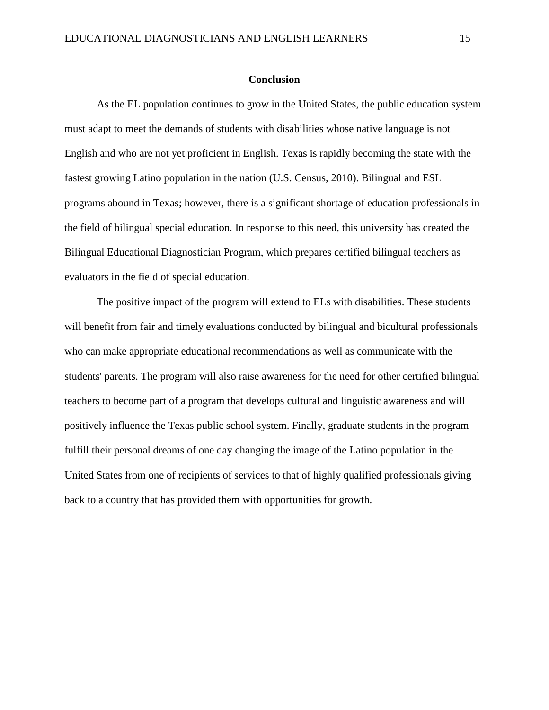#### **Conclusion**

As the EL population continues to grow in the United States, the public education system must adapt to meet the demands of students with disabilities whose native language is not English and who are not yet proficient in English. Texas is rapidly becoming the state with the fastest growing Latino population in the nation (U.S. Census, 2010). Bilingual and ESL programs abound in Texas; however, there is a significant shortage of education professionals in the field of bilingual special education. In response to this need, this university has created the Bilingual Educational Diagnostician Program, which prepares certified bilingual teachers as evaluators in the field of special education.

The positive impact of the program will extend to ELs with disabilities. These students will benefit from fair and timely evaluations conducted by bilingual and bicultural professionals who can make appropriate educational recommendations as well as communicate with the students' parents. The program will also raise awareness for the need for other certified bilingual teachers to become part of a program that develops cultural and linguistic awareness and will positively influence the Texas public school system. Finally, graduate students in the program fulfill their personal dreams of one day changing the image of the Latino population in the United States from one of recipients of services to that of highly qualified professionals giving back to a country that has provided them with opportunities for growth.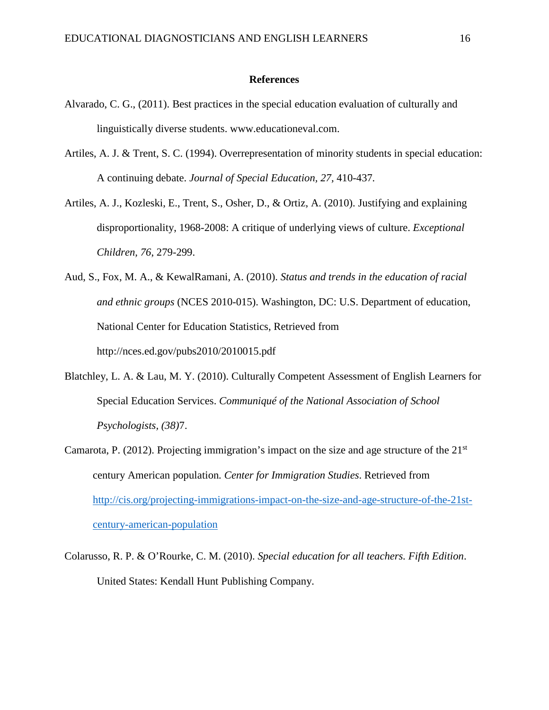## **References**

- Alvarado, C. G., (2011). Best practices in the special education evaluation of culturally and linguistically diverse students. www.educationeval.com.
- Artiles, A. J. & Trent, S. C. (1994). Overrepresentation of minority students in special education: A continuing debate. *Journal of Special Education, 27,* 410-437*.*
- Artiles, A. J., Kozleski, E., Trent, S., Osher, D., & Ortiz, A. (2010). Justifying and explaining disproportionality, 1968-2008: A critique of underlying views of culture. *Exceptional Children, 76*, 279-299.
- Aud, S., Fox, M. A., & KewalRamani, A. (2010). *Status and trends in the education of racial and ethnic groups* (NCES 2010-015). Washington, DC: U.S. Department of education, National Center for Education Statistics, Retrieved from http://nces.ed.gov/pubs2010/2010015.pdf
- Blatchley, L. A. & Lau, M. Y. (2010). Culturally Competent Assessment of English Learners for Special Education Services. *Communiqué of the National Association of School Psychologists, (38)*7.
- Camarota, P. (2012). Projecting immigration's impact on the size and age structure of the  $21<sup>st</sup>$ century American population*. Center for Immigration Studies*. Retrieved from [http://cis.org/projecting-immigrations-impact-on-the-size-and-age-structure-of-the-21st](http://cis.org/projecting-immigrations-impact-on-the-size-and-age-structure-of-the-21st-century-american-population)[century-american-population](http://cis.org/projecting-immigrations-impact-on-the-size-and-age-structure-of-the-21st-century-american-population)
- Colarusso, R. P. & O'Rourke, C. M. (2010). *Special education for all teachers. Fifth Edition*. United States: Kendall Hunt Publishing Company.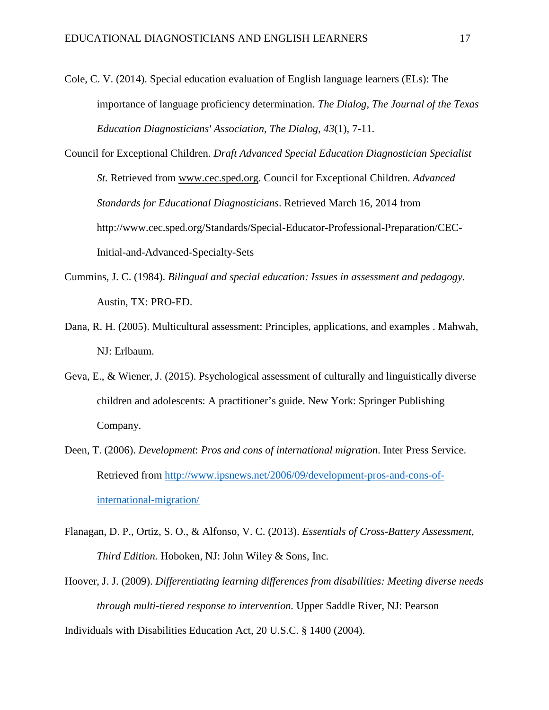- Cole, C. V. (2014). Special education evaluation of English language learners (ELs): The importance of language proficiency determination. *The Dialog, The Journal of the Texas Education Diagnosticians' Association, The Dialog*, *43*(1), 7-11.
- Council for Exceptional Children*. Draft Advanced Special Education Diagnostician Specialist St.* Retrieved from [www.cec.sped.org.](http://www.cec.sped.org/) Council for Exceptional Children. *Advanced Standards for Educational Diagnosticians*. Retrieved March 16, 2014 from [http://www.cec.sped.org/Standards/Special-Educator-Professional-Preparation/CEC-](http://www.cec.sped.org/Standards/Special-Educator-Professional-Preparation/CEC-Initial-and-Advanced-Specialty-Sets)[Initial-and-Advanced-Specialty-Sets](http://www.cec.sped.org/Standards/Special-Educator-Professional-Preparation/CEC-Initial-and-Advanced-Specialty-Sets)
- Cummins, J. C. (1984). *Bilingual and special education: Issues in assessment and pedagogy.* Austin, TX: PRO-ED.
- Dana, R. H. (2005). Multicultural assessment: Principles, applications, and examples . Mahwah, NJ: Erlbaum.
- Geva, E., & Wiener, J. (2015). Psychological assessment of culturally and linguistically diverse children and adolescents: A practitioner's guide. New York: Springer Publishing Company.
- Deen, T. (2006). *Development*: *Pros and cons of international migration*. Inter Press Service. Retrieved from [http://www.ipsnews.net/2006/09/development-pros-and-cons-of](http://www.ipsnews.net/2006/09/development-pros-and-cons-of-international-migration/)[international-migration/](http://www.ipsnews.net/2006/09/development-pros-and-cons-of-international-migration/)
- Flanagan, D. P., Ortiz, S. O., & Alfonso, V. C. (2013). *Essentials of Cross-Battery Assessment, Third Edition.* Hoboken, NJ: John Wiley & Sons, Inc.
- Hoover, J. J. (2009). *Differentiating learning differences from disabilities: Meeting diverse needs through multi-tiered response to intervention.* Upper Saddle River, NJ: Pearson Individuals with Disabilities Education Act, 20 U.S.C. § 1400 (2004).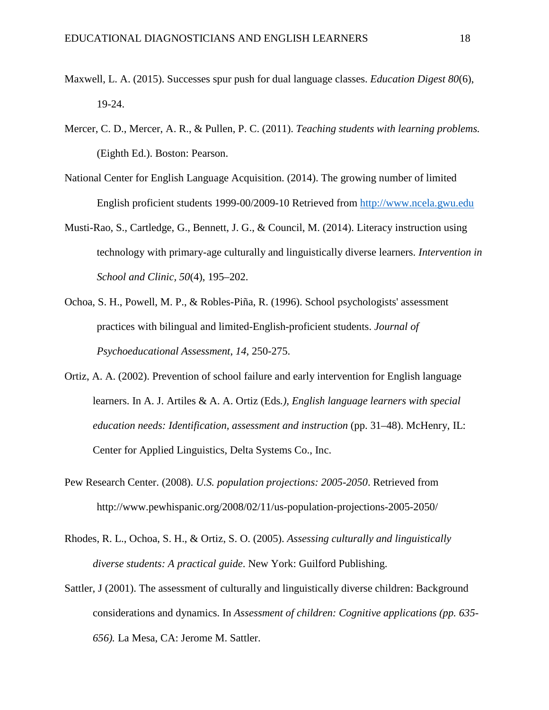- Maxwell, L. A. (2015). Successes spur push for dual language classes. *Education Digest 80*(6), 19-24.
- Mercer, C. D., Mercer, A. R., & Pullen, P. C. (2011). *Teaching students with learning problems.* (Eighth Ed.). Boston: Pearson.
- National Center for English Language Acquisition. (2014). The growing number of limited English proficient students 1999-00/2009-10 Retrieved from [http://www.ncela.gwu.edu](http://www.ncela.gwu.edu/)
- Musti-Rao, S., Cartledge, G., Bennett, J. G., & Council, M. (2014). Literacy instruction using technology with primary-age culturally and linguistically diverse learners. *Intervention in School and Clinic, 50*(4), 195–202.
- Ochoa, S. H., Powell, M. P., & Robles-Piña, R. (1996). School psychologists' assessment practices with bilingual and limited-English-proficient students. *Journal of Psychoeducational Assessment*, *14*, 250-275.
- Ortiz, A. A. (2002). Prevention of school failure and early intervention for English language learners. In A. J. Artiles & A. A. Ortiz (Eds*.), English language learners with special education needs: Identification, assessment and instruction* (pp. 31–48). McHenry, IL: Center for Applied Linguistics, Delta Systems Co., Inc.
- Pew Research Center. (2008). *U.S. population projections: 2005-2050*. Retrieved from http://www.pewhispanic.org/2008/02/11/us-population-projections-2005-2050/
- Rhodes, R. L., Ochoa, S. H., & Ortiz, S. O. (2005). *Assessing culturally and linguistically diverse students: A practical guide*. New York: Guilford Publishing.
- Sattler, J (2001). The assessment of culturally and linguistically diverse children: Background considerations and dynamics. In *Assessment of children: Cognitive applications (pp. 635- 656).* La Mesa, CA: Jerome M. Sattler.